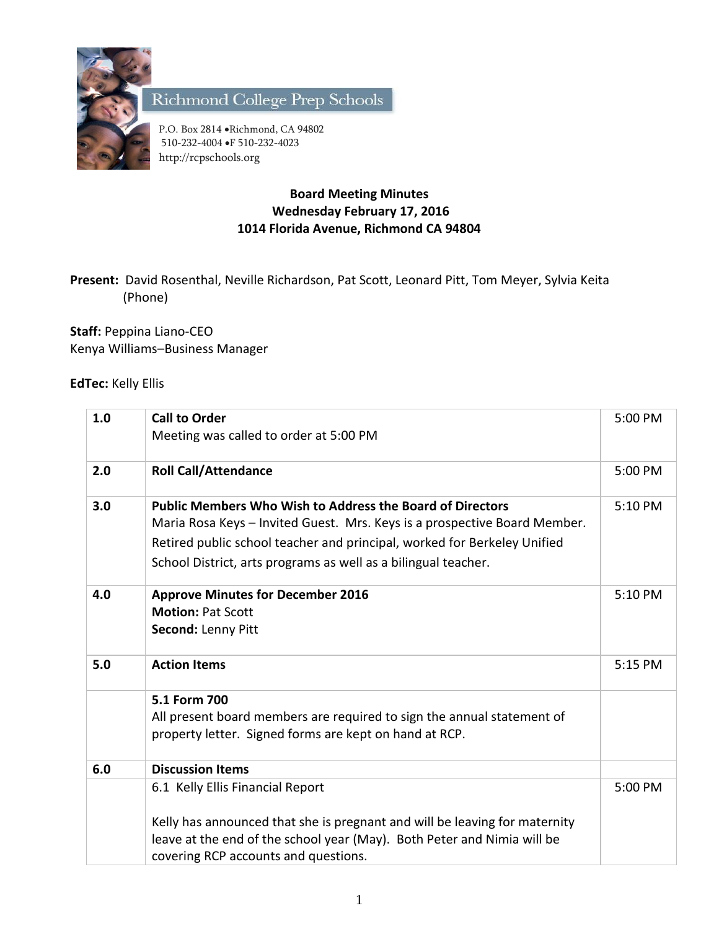

Richmond College Prep Schools

P.O. Box 2814 . Richmond, CA 94802 510-232-4004 F 510-232-4023 http://rcpschools.org

## **Board Meeting Minutes Wednesday February 17, 2016 1014 Florida Avenue, Richmond CA 94804**

**Present:** David Rosenthal, Neville Richardson, Pat Scott, Leonard Pitt, Tom Meyer, Sylvia Keita (Phone)

**Staff:** Peppina Liano-CEO Kenya Williams–Business Manager

**EdTec:** Kelly Ellis

| 1.0 | <b>Call to Order</b>                                                                                                                                                                                                                                                                        | 5:00 PM |
|-----|---------------------------------------------------------------------------------------------------------------------------------------------------------------------------------------------------------------------------------------------------------------------------------------------|---------|
|     | Meeting was called to order at 5:00 PM                                                                                                                                                                                                                                                      |         |
| 2.0 | <b>Roll Call/Attendance</b>                                                                                                                                                                                                                                                                 | 5:00 PM |
| 3.0 | <b>Public Members Who Wish to Address the Board of Directors</b><br>Maria Rosa Keys - Invited Guest. Mrs. Keys is a prospective Board Member.<br>Retired public school teacher and principal, worked for Berkeley Unified<br>School District, arts programs as well as a bilingual teacher. | 5:10 PM |
| 4.0 | <b>Approve Minutes for December 2016</b><br><b>Motion: Pat Scott</b><br>Second: Lenny Pitt                                                                                                                                                                                                  | 5:10 PM |
| 5.0 | <b>Action Items</b>                                                                                                                                                                                                                                                                         | 5:15 PM |
|     | 5.1 Form 700<br>All present board members are required to sign the annual statement of<br>property letter. Signed forms are kept on hand at RCP.                                                                                                                                            |         |
| 6.0 | <b>Discussion Items</b>                                                                                                                                                                                                                                                                     |         |
|     | 6.1 Kelly Ellis Financial Report<br>Kelly has announced that she is pregnant and will be leaving for maternity<br>leave at the end of the school year (May). Both Peter and Nimia will be<br>covering RCP accounts and questions.                                                           | 5:00 PM |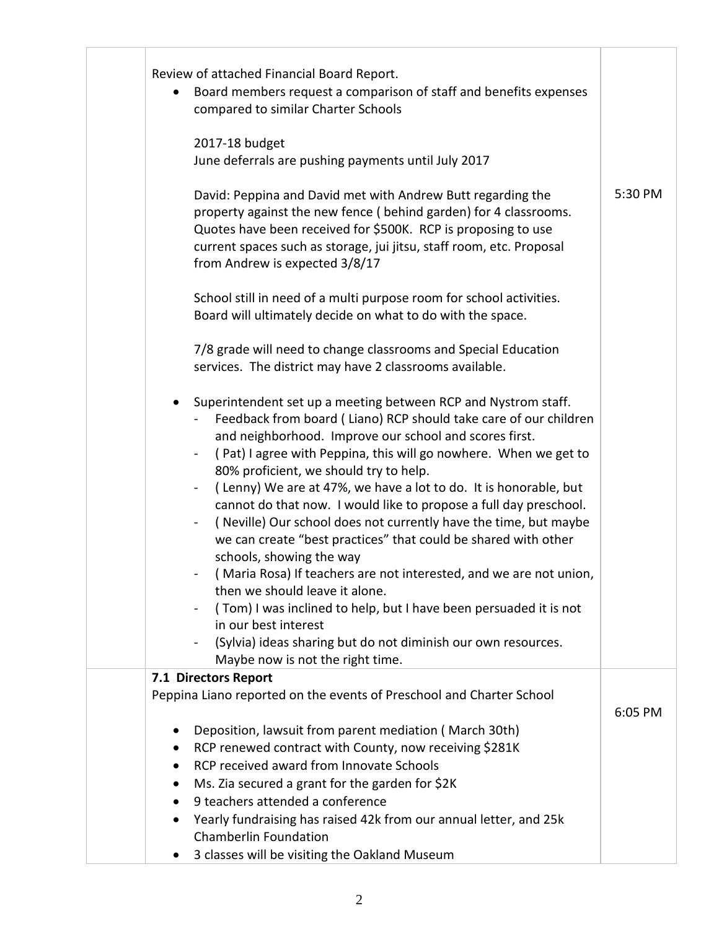| Review of attached Financial Board Report.<br>Board members request a comparison of staff and benefits expenses<br>$\bullet$<br>compared to similar Charter Schools                                                                                                                                                                                                                                                                                                                                                                                                                                                                                                                                                                                                                                                                                                                                                                          |         |
|----------------------------------------------------------------------------------------------------------------------------------------------------------------------------------------------------------------------------------------------------------------------------------------------------------------------------------------------------------------------------------------------------------------------------------------------------------------------------------------------------------------------------------------------------------------------------------------------------------------------------------------------------------------------------------------------------------------------------------------------------------------------------------------------------------------------------------------------------------------------------------------------------------------------------------------------|---------|
| 2017-18 budget<br>June deferrals are pushing payments until July 2017                                                                                                                                                                                                                                                                                                                                                                                                                                                                                                                                                                                                                                                                                                                                                                                                                                                                        |         |
| David: Peppina and David met with Andrew Butt regarding the<br>property against the new fence (behind garden) for 4 classrooms.<br>Quotes have been received for \$500K. RCP is proposing to use<br>current spaces such as storage, jui jitsu, staff room, etc. Proposal<br>from Andrew is expected 3/8/17                                                                                                                                                                                                                                                                                                                                                                                                                                                                                                                                                                                                                                   | 5:30 PM |
| School still in need of a multi purpose room for school activities.<br>Board will ultimately decide on what to do with the space.                                                                                                                                                                                                                                                                                                                                                                                                                                                                                                                                                                                                                                                                                                                                                                                                            |         |
| 7/8 grade will need to change classrooms and Special Education<br>services. The district may have 2 classrooms available.                                                                                                                                                                                                                                                                                                                                                                                                                                                                                                                                                                                                                                                                                                                                                                                                                    |         |
| Superintendent set up a meeting between RCP and Nystrom staff.<br>$\bullet$<br>Feedback from board (Liano) RCP should take care of our children<br>and neighborhood. Improve our school and scores first.<br>(Pat) I agree with Peppina, this will go nowhere. When we get to<br>80% proficient, we should try to help.<br>(Lenny) We are at 47%, we have a lot to do. It is honorable, but<br>cannot do that now. I would like to propose a full day preschool.<br>(Neville) Our school does not currently have the time, but maybe<br>we can create "best practices" that could be shared with other<br>schools, showing the way<br>(Maria Rosa) If teachers are not interested, and we are not union,<br>then we should leave it alone.<br>(Tom) I was inclined to help, but I have been persuaded it is not<br>in our best interest<br>(Sylvia) ideas sharing but do not diminish our own resources.<br>Maybe now is not the right time. |         |
| 7.1 Directors Report<br>Peppina Liano reported on the events of Preschool and Charter School                                                                                                                                                                                                                                                                                                                                                                                                                                                                                                                                                                                                                                                                                                                                                                                                                                                 |         |
| Deposition, lawsuit from parent mediation (March 30th)<br>RCP renewed contract with County, now receiving \$281K<br>RCP received award from Innovate Schools<br>Ms. Zia secured a grant for the garden for \$2K<br>9 teachers attended a conference<br>Yearly fundraising has raised 42k from our annual letter, and 25k                                                                                                                                                                                                                                                                                                                                                                                                                                                                                                                                                                                                                     | 6:05 PM |
| <b>Chamberlin Foundation</b><br>3 classes will be visiting the Oakland Museum                                                                                                                                                                                                                                                                                                                                                                                                                                                                                                                                                                                                                                                                                                                                                                                                                                                                |         |